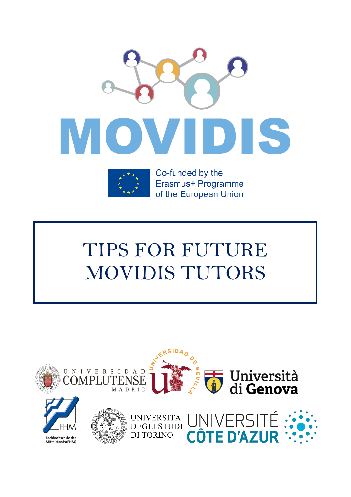



Co-funded by the Erasmus+ Programme of the European Union

# TIPS FOR FUTURE MOVIDIS TUTORS

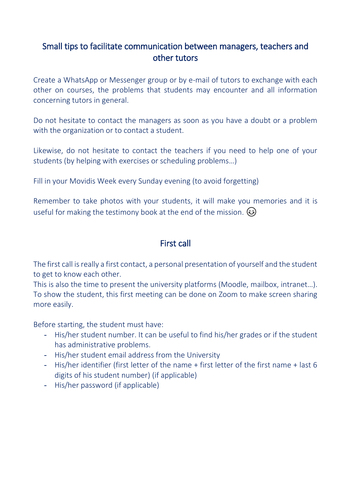## Small tips to facilitate communication between managers, teachers and other tutors

Create a WhatsApp or Messenger group or by e-mail of tutors to exchange with each other on courses, the problems that students may encounter and all information concerning tutors in general.

Do not hesitate to contact the managers as soon as you have a doubt or a problem with the organization or to contact a student.

Likewise, do not hesitate to contact the teachers if you need to help one of your students (by helping with exercises or scheduling problems…)

Fill in your Movidis Week every Sunday evening (to avoid forgetting)

Remember to take photos with your students, it will make you memories and it is useful for making the testimony book at the end of the mission.  $\circled{e}$ 

#### First call

The first call is really a first contact, a personal presentation of yourself and the student to get to know each other.

This is also the time to present the university platforms (Moodle, mailbox, intranet…). To show the student, this first meeting can be done on Zoom to make screen sharing more easily.

Before starting, the student must have:

- His/her student number. It can be useful to find his/her grades or if the student has administrative problems.
- His/her student email address from the University
- His/her identifier (first letter of the name + first letter of the first name + last 6 digits of his student number) (if applicable)
- His/her password (if applicable)